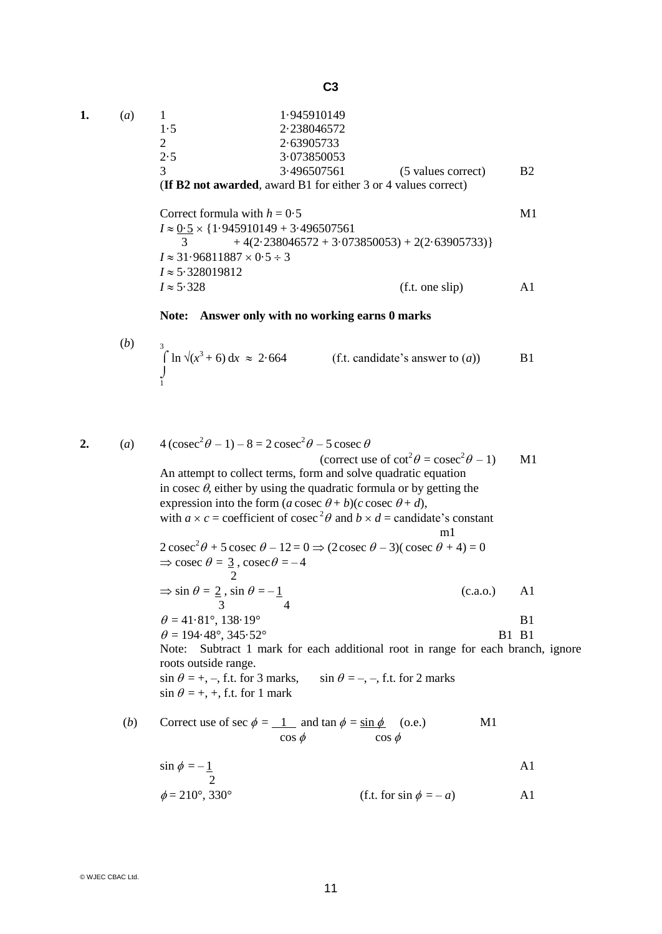| a) |     | 1.945910149                                                           |                    |    |
|----|-----|-----------------------------------------------------------------------|--------------------|----|
|    | 1.5 | 2.238046572                                                           |                    |    |
|    |     | 2.63905733                                                            |                    |    |
|    | 2.5 | 3.073850053                                                           |                    |    |
|    |     | 3.496507561                                                           | (5 values correct) | B2 |
|    |     |                                                                       |                    |    |
|    |     | <b>(If B2 not awarded, award B1 for either 3 or 4 values correct)</b> |                    |    |

Correct formula with  $h = 0.5$  M1  $I \approx \frac{0.5}{3} \times \{1.945910149 + 3.496507561 + 4(2.238046572 + 3.073)\}$  $+4(2.238046572+3.073850053)+2(2.63905733)$  $I \approx 31.96811887 \times 0.5 \div 3$  $I \approx 5.328019812$ <br> $I \approx 5.328$  $(f.t. one slip)$   $A1$ 

## **Note: Answer only with no working earns 0 marks**

(b) 
$$
\int_{1}^{3} \ln \sqrt{x^3 + 6} \, dx \approx 2.664
$$
 (f.t. candidate's answer to (a)) B1

2. (a) 
$$
4(\csc^2 \theta - 1) - 8 = 2 \csc^2 \theta - 5 \csc \theta
$$
  
\n(correct use of  $\cot^2 \theta = \csc^2 \theta - 1$ ) M1  
\nAn attempt to collect terms, form and solve quadratic equation  
\nin  $\csc \theta$ , either by using the quadratic formula or by getting the  
\nexpression into the form  $(a \csc \theta + b)(c \csc \theta + d)$ ,  
\nwith  $a \times c = \text{coefficient of } \csc^2 \theta$  and  $b \times d = \text{candidate's constant}$   
\n $2 \csc^2 \theta + 5 \csc \theta - 12 = 0 \Rightarrow (2 \csc \theta - 3)(\csc \theta + 4) = 0$   
\n $\Rightarrow \csc \theta = \frac{3}{2}, \csc \theta = -4$   
\n $\Rightarrow \sin \theta = 2, \sin \theta = -1$   
\n $\Rightarrow \sin \theta = 2, \sin \theta = -1$   
\n $\theta = 41.81^\circ, 138.19^\circ$   
\n $\theta = 194.48^\circ, 345.52^\circ$   
\nNote: Subtract 1 mark for each additional root in range for each branch, ignore  
\nroots outside range.  
\n $\sin \theta = +, -, \text{f.t. for 3 marks}, \quad \sin \theta = -, -, \text{f.t. for 2 marks}$   
\n $\sin \theta = +, +, \text{f.t. for 1 mark}$ 

(b) Correct use of 
$$
\sec \phi = \frac{1}{\cos \phi}
$$
 and  $\tan \phi = \frac{\sin \phi}{\cos \phi}$  (o.e.) M1

$$
\sin \phi = -\frac{1}{2}
$$
 A1  
\n
$$
\phi = 210^{\circ}, 330^{\circ}
$$
 (f.t. for  $\sin \phi = -a$ ) A1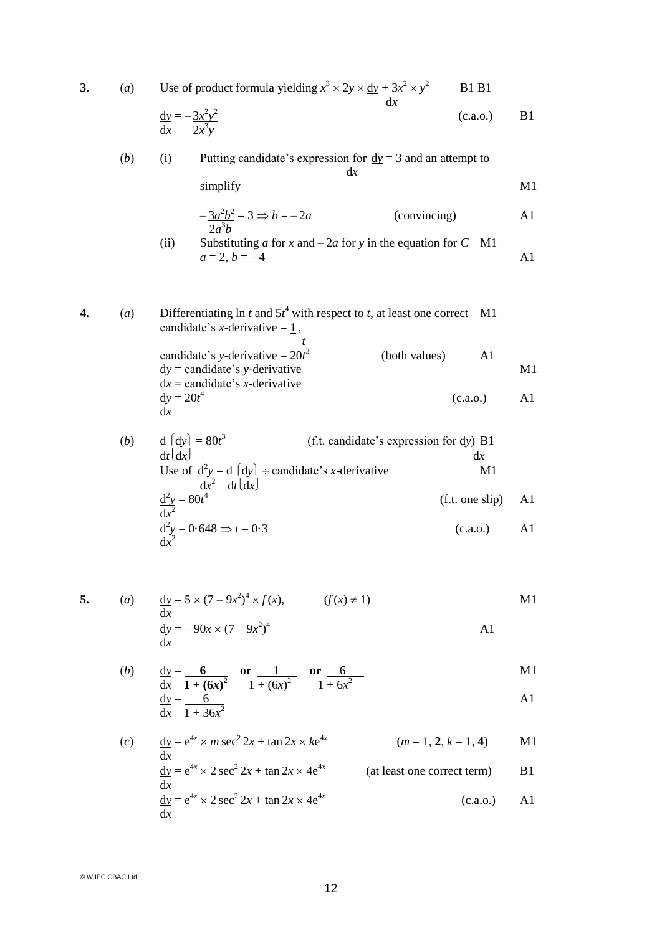| 3. | (a)                                                                                                                  | Use of product formula yielding $x^3 \times 2y \times \underline{dy} + 3x^2 \times y^2$<br>dx                  | <b>B1</b> B1    |    |
|----|----------------------------------------------------------------------------------------------------------------------|----------------------------------------------------------------------------------------------------------------|-----------------|----|
|    |                                                                                                                      | $\frac{\mathrm{d}y}{\mathrm{d}x} = -\frac{3x^2y^2}{2x^3y}$                                                     | (c.a.o.)        | B1 |
|    | (b)                                                                                                                  | Putting candidate's expression for $\underline{dy} = 3$ and an attempt to<br>(i)<br>dx                         |                 |    |
|    |                                                                                                                      | simplify                                                                                                       |                 | M1 |
|    |                                                                                                                      | $-\frac{3a^2b^2}{2a^3b} = 3 \Rightarrow b = -2a$<br>(convincing)                                               |                 | A1 |
|    |                                                                                                                      | Substituting a for x and $-2a$ for y in the equation for C<br>(ii)<br>$a = 2, b = -4$                          | M1              | A1 |
|    |                                                                                                                      |                                                                                                                |                 |    |
| 4. | Differentiating ln t and $5t^4$ with respect to t, at least one correct M1<br>(a)<br>candidate's x-derivative $=$ 1, |                                                                                                                |                 |    |
|    |                                                                                                                      | candidate's y-derivative = $20t^3$<br>(both values)                                                            | A <sub>1</sub>  |    |
|    |                                                                                                                      | $\underline{dy}$ = candidate's y-derivative<br>$dx =$ candidate's <i>x</i> -derivative                         |                 | M1 |
|    |                                                                                                                      | $\underline{\mathrm{d}y} = 20t^4$<br>dx                                                                        | (c.a.o.)        | A1 |
|    | (b)                                                                                                                  | $\underline{d}$ $\left[\underline{dy}\right] = 80t^3$<br>(f.t. candidate's expression for $\frac{dy}{dx}$ ) B1 |                 |    |
|    |                                                                                                                      | dt  dx                                                                                                         | dx<br>M1        |    |
|    |                                                                                                                      | Use of $\frac{d^2y}{dx^2} = \frac{d}{dt} \left( \frac{dy}{dx} \right)$ ÷ candidate's <i>x</i> -derivative      | (f.t. one slip) | A1 |
|    |                                                                                                                      | $\frac{d^2y}{dx^2} = 80t^4$                                                                                    |                 |    |
|    |                                                                                                                      | $\frac{d^2y}{dx^2} = 0.648 \Rightarrow t = 0.3$                                                                | (c.a.o.)        | A1 |
|    |                                                                                                                      |                                                                                                                |                 |    |
| 5. |                                                                                                                      | (a) $\frac{dy}{dx} = 5 \times (7 - 9x^2)^4 \times f(x)$ ,<br>$(f(x) \neq 1)$                                   |                 | M1 |
|    |                                                                                                                      | dr<br>$\underline{dy} = -90x \times (7 - 9x^2)^4$<br>dx                                                        | A <sub>1</sub>  |    |
|    | (b)                                                                                                                  | $\frac{dy}{dx} = \frac{6}{1 + (6x)^2}$ or $\frac{1}{1 + (6x)^2}$ or $\frac{6}{1 + 6x^2}$                       |                 | M1 |
|    |                                                                                                                      | $\frac{\mathrm{d}y}{\mathrm{d}x} = \frac{6}{1 + 36x^2}$                                                        |                 | A1 |
|    |                                                                                                                      |                                                                                                                |                 |    |

(c) 
$$
\frac{dy}{dx} = e^{4x} \times m \sec^2 2x + \tan 2x \times ke^{4x}
$$
 (*m* = 1, 2, *k* = 1, 4) M1  
\n
$$
\frac{dy}{dx} = e^{4x} \times 2 \sec^2 2x + \tan 2x \times 4e^{4x}
$$
 (at least one correct term) B1  
\n
$$
\frac{dy}{dx} = e^{4x} \times 2 \sec^2 2x + \tan 2x \times 4e^{4x}
$$
 (c.a.o.) A1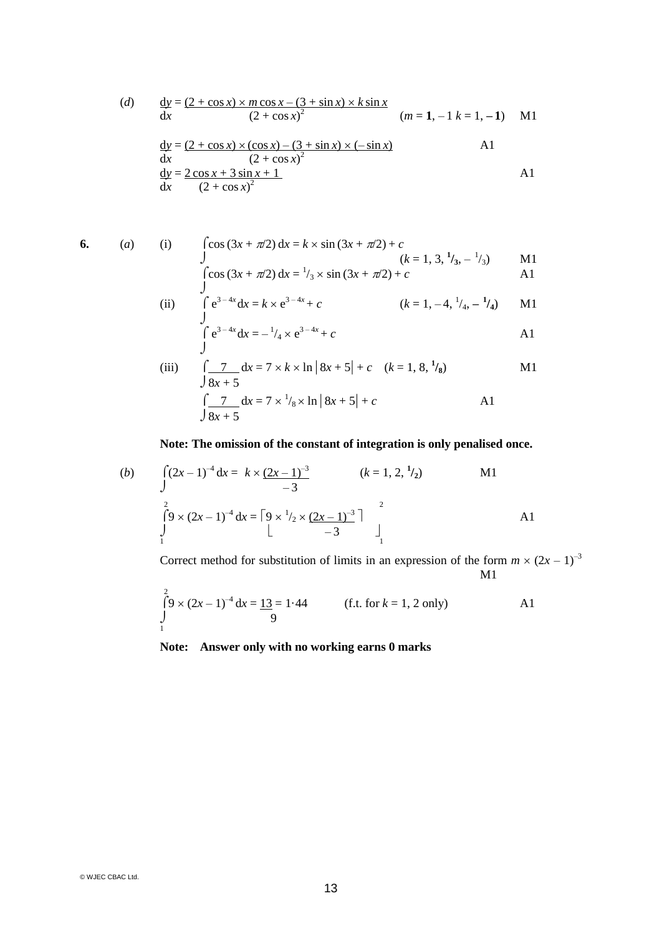(d) 
$$
\frac{dy}{dx} = \frac{(2 + \cos x) \times m \cos x - (3 + \sin x) \times k \sin x}{(2 + \cos x)^2}
$$
 (*m* = 1, -1 *k* = 1, -1) M1  
\n
$$
\frac{dy}{dx} = \frac{(2 + \cos x) \times (\cos x) - (3 + \sin x) \times (-\sin x)}{(2 + \cos x)^2}
$$
 A1  
\n
$$
\frac{dy}{dx} = \frac{2 \cos x + 3 \sin x + 1}{(2 + \cos x)^2}
$$
 A1

6. (a) (i) 
$$
\int \cos (3x + \pi/2) dx = k \times \sin (3x + \pi/2) + c
$$
  
\n $\int (k = 1, 3, \frac{1}{3}, -\frac{1}{3})$  M1  
\n $\int \cos (3x + \pi/2) dx = \frac{1}{3} \times \sin (3x + \pi/2) + c$  A1

$$
\begin{array}{lll}\n\text{(cos (3x + \pi/2) dx = \frac{1}{3} \times \sin(3x + \pi/2) + c} & \text{A1} \\
\text{(ii)} & \int e^{3-4x} dx = k \times e^{3-4x} + c & (k = 1, -4, \frac{1}{4}, -\frac{1}{4}) & \text{M1}\n\end{array}
$$

$$
\int e^{3-4x} dx = k \times e^{3-4x} + c
$$
  $(k = 1, -4, \frac{1}{4}, -\frac{1}{4})$  M1  

$$
\int e^{3-4x} dx = -\frac{1}{4} \times e^{3-4x} + c
$$
 A1

(iii) 
$$
\int \frac{7}{8x+5} dx = 7 \times k \times \ln |8x+5| + c \quad (k = 1, 8, \frac{1}{8})
$$
 M1  

$$
\int \frac{7}{8x+5} dx = 7 \times \frac{1}{8} \times \ln |8x+5| + c
$$
 A1

## **Note: The omission of the constant of integration is only penalised once.**

(b) 
$$
\int_{0}^{2} (2x-1)^{-4} dx = k \times (2x-1)^{-3} \qquad (k = 1, 2, \frac{1}{2})
$$
 M1  

$$
\int_{1}^{2} 9 \times (2x-1)^{-4} dx = \left[ 9 \times \frac{1}{2} \times (2x-1)^{-3} \right]_{1}^{2}
$$
 A1

Correct method for substitution of limits in an expression of the form  $m \times (2x - 1)^{-3}$ M1

$$
\int_{1}^{2} 9 \times (2x - 1)^{-4} dx = 1.3 = 1.44
$$
 (f.t. for  $k = 1, 2$  only)

## **Note: Answer only with no working earns 0 marks**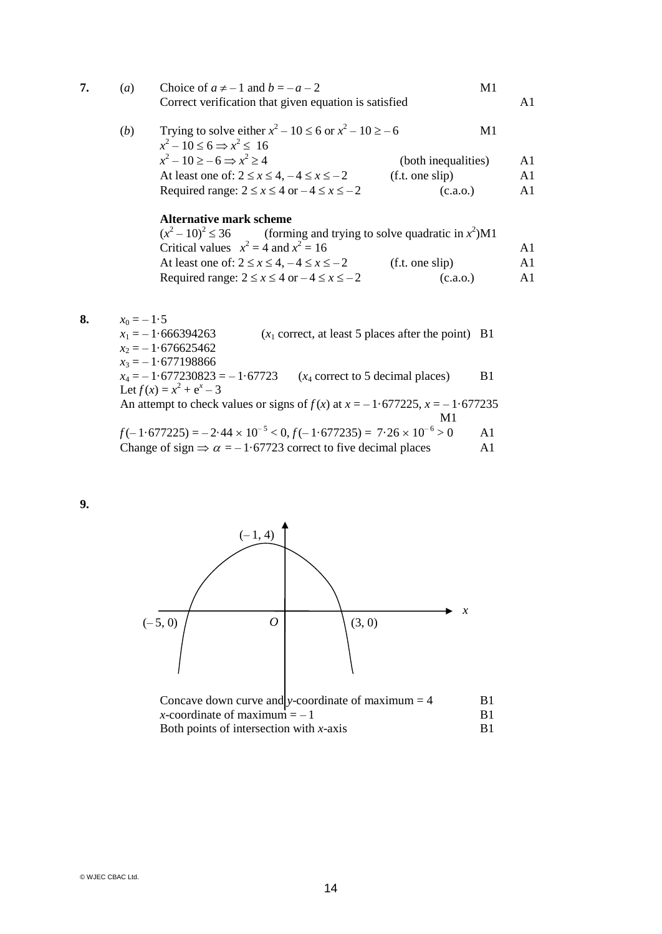|  | $\left( a\right)$ | Choice of $a \neq -1$ and $b = -a - 2$<br>Correct verification that given equation is satisfied               | M1                  |    |
|--|-------------------|---------------------------------------------------------------------------------------------------------------|---------------------|----|
|  | ( <i>b</i> )      | Trying to solve either $x^2 - 10 \le 6$ or $x^2 - 10 \ge -6$<br>M1<br>$x^2-10 \leq 6 \Rightarrow x^2 \leq 16$ |                     |    |
|  |                   | $x^2-10 \ge -6 \Rightarrow x^2 \ge 4$                                                                         | (both inequalities) |    |
|  |                   | At least one of: $2 \le x \le 4, -4 \le x \le -2$                                                             | (f.t. one slip)     | A1 |
|  |                   | Required range: $2 \le x \le 4$ or $-4 \le x \le -2$                                                          | (c.a.o.)            | A1 |
|  |                   | <b>Alternative mark scheme</b>                                                                                |                     |    |

## $(x^2 - 10)^2 \le 36$  (forming and trying to solve quadratic in  $x^2$ )M1 Critical values  $x^2 = 4$  and  $x^2 = 16$  A1 At least one of:  $2 \le x \le 4, -4 \le x \le -2$  (f.t. one slip) A1 Required range:  $2 \le x \le 4$  or  $-4 \le x \le -2$  (c.a.o.) A1

**8.**  $x_0 = -1.5$ <br> $x_1 = -1.666394263$  $(x_1$  correct, at least 5 places after the point) B1  $x_2 = -1.676625462$  $x_3 = -1.677198866$  $x_4 = -1.677230823 = -1.67723$  ( $x_4$  correct to 5 decimal places) B1 Let  $f(x) = x^2 + e^x - 3$ An attempt to check values or signs of  $f(x)$  at  $x = -1.677225$ ,  $x = -1.677235$ M1  $f(-1.677225) = -2.44 \times 10^{-5} < 0, f(-1.677235) = 7.26 \times 10^{-6} > 0$  A1 Change of sign  $\Rightarrow \alpha = -1.67723$  correct to five decimal places A1

**9.**



| Concave down curve and y-coordinate of maximum $=$ 4 | -R1 |
|------------------------------------------------------|-----|
| x-coordinate of maximum $=-1$                        | R1  |
| Both points of intersection with $x$ -axis           | R1  |